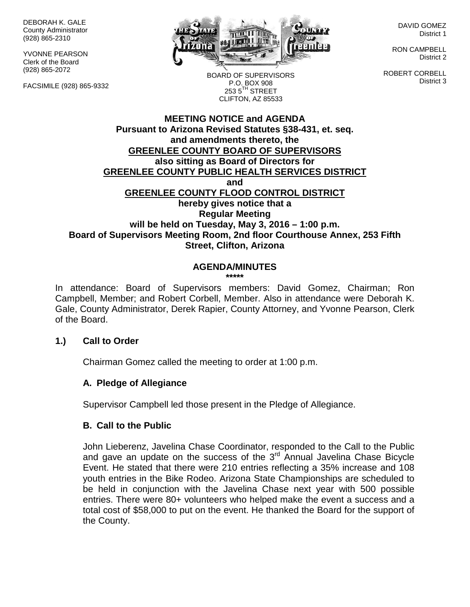DEBORAH K. GALE County Administrator (928) 865-2310

YVONNE PEARSON Clerk of the Board (928) 865-2072

FACSIMILE (928) 865-9332



DAVID GOMEZ District 1

RON CAMPBELL District 2

ROBERT CORBELL District 3

BOARD OF SUPERVISORS P.O. BOX 908  $253.5$ <sup>TH</sup> STREET CLIFTON, AZ 85533

# **MEETING NOTICE and AGENDA Pursuant to Arizona Revised Statutes §38-431, et. seq. and amendments thereto, the GREENLEE COUNTY BOARD OF SUPERVISORS also sitting as Board of Directors for GREENLEE COUNTY PUBLIC HEALTH SERVICES DISTRICT and GREENLEE COUNTY FLOOD CONTROL DISTRICT hereby gives notice that a Regular Meeting will be held on Tuesday, May 3, 2016 – 1:00 p.m. Board of Supervisors Meeting Room, 2nd floor Courthouse Annex, 253 Fifth Street, Clifton, Arizona**

# **AGENDA/MINUTES**

**\*\*\*\*\***

In attendance: Board of Supervisors members: David Gomez, Chairman; Ron Campbell, Member; and Robert Corbell, Member. Also in attendance were Deborah K. Gale, County Administrator, Derek Rapier, County Attorney, and Yvonne Pearson, Clerk of the Board.

# **1.) Call to Order**

Chairman Gomez called the meeting to order at 1:00 p.m.

# **A. Pledge of Allegiance**

Supervisor Campbell led those present in the Pledge of Allegiance.

# **B. Call to the Public**

John Lieberenz, Javelina Chase Coordinator, responded to the Call to the Public and gave an update on the success of the  $3<sup>rd</sup>$  Annual Javelina Chase Bicycle Event. He stated that there were 210 entries reflecting a 35% increase and 108 youth entries in the Bike Rodeo. Arizona State Championships are scheduled to be held in conjunction with the Javelina Chase next year with 500 possible entries. There were 80+ volunteers who helped make the event a success and a total cost of \$58,000 to put on the event. He thanked the Board for the support of the County.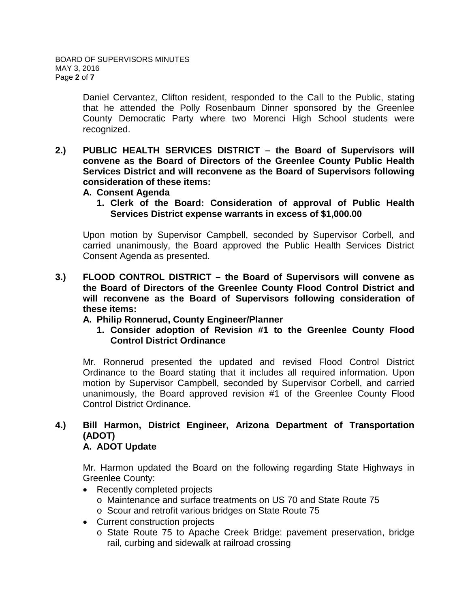Daniel Cervantez, Clifton resident, responded to the Call to the Public, stating that he attended the Polly Rosenbaum Dinner sponsored by the Greenlee County Democratic Party where two Morenci High School students were recognized.

- **2.) PUBLIC HEALTH SERVICES DISTRICT – the Board of Supervisors will convene as the Board of Directors of the Greenlee County Public Health Services District and will reconvene as the Board of Supervisors following consideration of these items:**
	- **A. Consent Agenda**
		- **1. Clerk of the Board: Consideration of approval of Public Health Services District expense warrants in excess of \$1,000.00**

Upon motion by Supervisor Campbell, seconded by Supervisor Corbell, and carried unanimously, the Board approved the Public Health Services District Consent Agenda as presented.

- **3.) FLOOD CONTROL DISTRICT – the Board of Supervisors will convene as the Board of Directors of the Greenlee County Flood Control District and will reconvene as the Board of Supervisors following consideration of these items:**
	- **A. Philip Ronnerud, County Engineer/Planner**
		- **1. Consider adoption of Revision #1 to the Greenlee County Flood Control District Ordinance**

Mr. Ronnerud presented the updated and revised Flood Control District Ordinance to the Board stating that it includes all required information. Upon motion by Supervisor Campbell, seconded by Supervisor Corbell, and carried unanimously, the Board approved revision #1 of the Greenlee County Flood Control District Ordinance.

# **4.) Bill Harmon, District Engineer, Arizona Department of Transportation (ADOT)**

# **A. ADOT Update**

Mr. Harmon updated the Board on the following regarding State Highways in Greenlee County:

- Recently completed projects
	- o Maintenance and surface treatments on US 70 and State Route 75
	- o Scour and retrofit various bridges on State Route 75
- Current construction projects
	- o State Route 75 to Apache Creek Bridge: pavement preservation, bridge rail, curbing and sidewalk at railroad crossing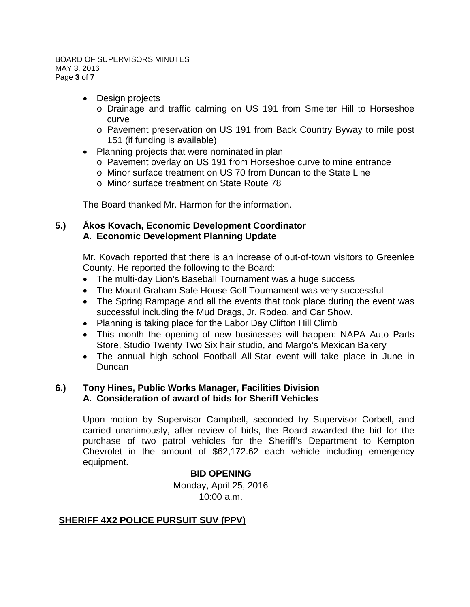#### BOARD OF SUPERVISORS MINUTES MAY 3, 2016 Page **3** of **7**

- Design projects
	- o Drainage and traffic calming on US 191 from Smelter Hill to Horseshoe curve
	- o Pavement preservation on US 191 from Back Country Byway to mile post 151 (if funding is available)
- Planning projects that were nominated in plan
	- o Pavement overlay on US 191 from Horseshoe curve to mine entrance
	- o Minor surface treatment on US 70 from Duncan to the State Line
	- o Minor surface treatment on State Route 78

The Board thanked Mr. Harmon for the information.

# **5.) Ákos Kovach, Economic Development Coordinator A. Economic Development Planning Update**

Mr. Kovach reported that there is an increase of out-of-town visitors to Greenlee County. He reported the following to the Board:

- The multi-day Lion's Baseball Tournament was a huge success
- The Mount Graham Safe House Golf Tournament was very successful
- The Spring Rampage and all the events that took place during the event was successful including the Mud Drags, Jr. Rodeo, and Car Show.
- Planning is taking place for the Labor Day Clifton Hill Climb
- This month the opening of new businesses will happen: NAPA Auto Parts Store, Studio Twenty Two Six hair studio, and Margo's Mexican Bakery
- The annual high school Football All-Star event will take place in June in Duncan

# **6.) Tony Hines, Public Works Manager, Facilities Division A. Consideration of award of bids for Sheriff Vehicles**

Upon motion by Supervisor Campbell, seconded by Supervisor Corbell, and carried unanimously, after review of bids, the Board awarded the bid for the purchase of two patrol vehicles for the Sheriff's Department to Kempton Chevrolet in the amount of \$62,172.62 each vehicle including emergency equipment.

# **BID OPENING**

Monday, April 25, 2016 10:00 a.m.

# **SHERIFF 4X2 POLICE PURSUIT SUV (PPV)**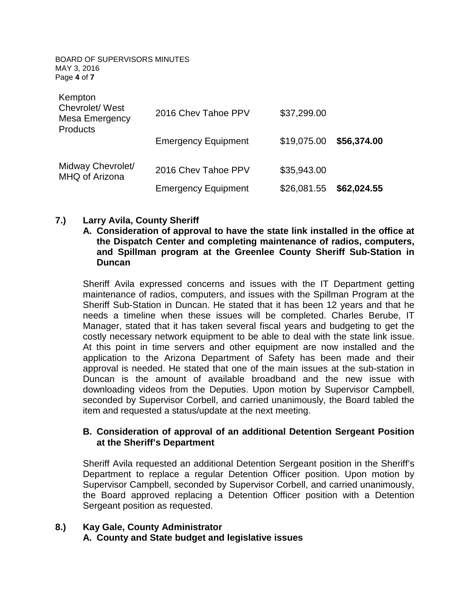BOARD OF SUPERVISORS MINUTES MAY 3, 2016 Page **4** of **7**

| Kempton<br>Chevrolet/ West<br>Mesa Emergency<br><b>Products</b> | 2016 Chev Tahoe PPV        | \$37,299.00 |             |
|-----------------------------------------------------------------|----------------------------|-------------|-------------|
|                                                                 | <b>Emergency Equipment</b> | \$19,075.00 | \$56,374.00 |
| Midway Chevrolet/<br>MHQ of Arizona                             | 2016 Chev Tahoe PPV        | \$35,943.00 |             |
|                                                                 | <b>Emergency Equipment</b> | \$26,081.55 | \$62,024.55 |

# **7.) Larry Avila, County Sheriff**

**A. Consideration of approval to have the state link installed in the office at the Dispatch Center and completing maintenance of radios, computers, and Spillman program at the Greenlee County Sheriff Sub-Station in Duncan**

Sheriff Avila expressed concerns and issues with the IT Department getting maintenance of radios, computers, and issues with the Spillman Program at the Sheriff Sub-Station in Duncan. He stated that it has been 12 years and that he needs a timeline when these issues will be completed. Charles Berube, IT Manager, stated that it has taken several fiscal years and budgeting to get the costly necessary network equipment to be able to deal with the state link issue. At this point in time servers and other equipment are now installed and the application to the Arizona Department of Safety has been made and their approval is needed. He stated that one of the main issues at the sub-station in Duncan is the amount of available broadband and the new issue with downloading videos from the Deputies. Upon motion by Supervisor Campbell, seconded by Supervisor Corbell, and carried unanimously, the Board tabled the item and requested a status/update at the next meeting.

#### **B. Consideration of approval of an additional Detention Sergeant Position at the Sheriff's Department**

Sheriff Avila requested an additional Detention Sergeant position in the Sheriff's Department to replace a regular Detention Officer position. Upon motion by Supervisor Campbell, seconded by Supervisor Corbell, and carried unanimously, the Board approved replacing a Detention Officer position with a Detention Sergeant position as requested.

# **8.) Kay Gale, County Administrator A. County and State budget and legislative issues**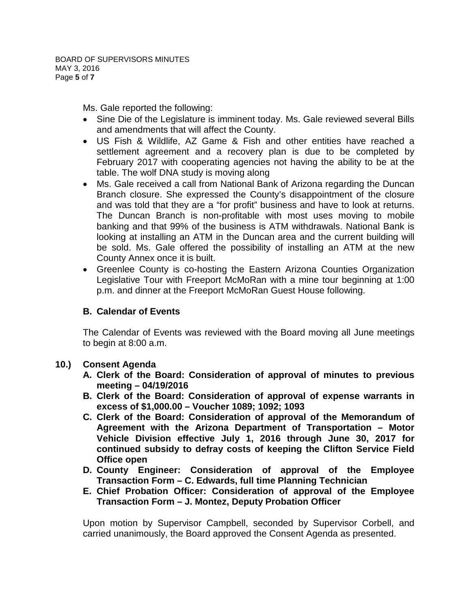Ms. Gale reported the following:

- Sine Die of the Legislature is imminent today. Ms. Gale reviewed several Bills and amendments that will affect the County.
- US Fish & Wildlife, AZ Game & Fish and other entities have reached a settlement agreement and a recovery plan is due to be completed by February 2017 with cooperating agencies not having the ability to be at the table. The wolf DNA study is moving along
- Ms. Gale received a call from National Bank of Arizona regarding the Duncan Branch closure. She expressed the County's disappointment of the closure and was told that they are a "for profit" business and have to look at returns. The Duncan Branch is non-profitable with most uses moving to mobile banking and that 99% of the business is ATM withdrawals. National Bank is looking at installing an ATM in the Duncan area and the current building will be sold. Ms. Gale offered the possibility of installing an ATM at the new County Annex once it is built.
- Greenlee County is co-hosting the Eastern Arizona Counties Organization Legislative Tour with Freeport McMoRan with a mine tour beginning at 1:00 p.m. and dinner at the Freeport McMoRan Guest House following.

# **B. Calendar of Events**

The Calendar of Events was reviewed with the Board moving all June meetings to begin at 8:00 a.m.

# **10.) Consent Agenda**

- **A. Clerk of the Board: Consideration of approval of minutes to previous meeting – 04/19/2016**
- **B. Clerk of the Board: Consideration of approval of expense warrants in excess of \$1,000.00 – Voucher 1089; 1092; 1093**
- **C. Clerk of the Board: Consideration of approval of the Memorandum of Agreement with the Arizona Department of Transportation – Motor Vehicle Division effective July 1, 2016 through June 30, 2017 for continued subsidy to defray costs of keeping the Clifton Service Field Office open**
- **D. County Engineer: Consideration of approval of the Employee Transaction Form – C. Edwards, full time Planning Technician**
- **E. Chief Probation Officer: Consideration of approval of the Employee Transaction Form – J. Montez, Deputy Probation Officer**

Upon motion by Supervisor Campbell, seconded by Supervisor Corbell, and carried unanimously, the Board approved the Consent Agenda as presented.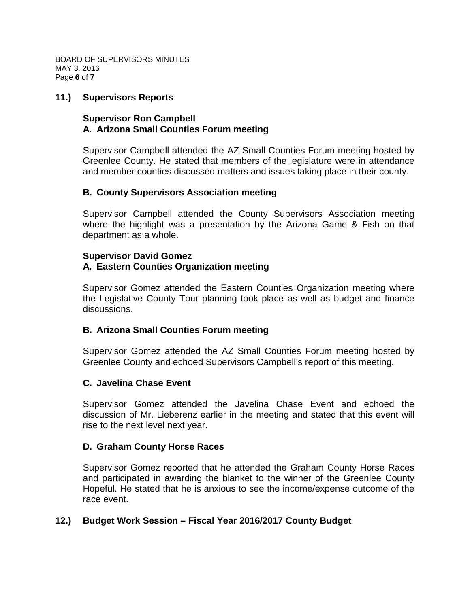BOARD OF SUPERVISORS MINUTES MAY 3, 2016 Page **6** of **7**

#### **11.) Supervisors Reports**

#### **Supervisor Ron Campbell A. Arizona Small Counties Forum meeting**

Supervisor Campbell attended the AZ Small Counties Forum meeting hosted by Greenlee County. He stated that members of the legislature were in attendance and member counties discussed matters and issues taking place in their county.

#### **B. County Supervisors Association meeting**

Supervisor Campbell attended the County Supervisors Association meeting where the highlight was a presentation by the Arizona Game & Fish on that department as a whole.

#### **Supervisor David Gomez A. Eastern Counties Organization meeting**

Supervisor Gomez attended the Eastern Counties Organization meeting where the Legislative County Tour planning took place as well as budget and finance discussions.

#### **B. Arizona Small Counties Forum meeting**

Supervisor Gomez attended the AZ Small Counties Forum meeting hosted by Greenlee County and echoed Supervisors Campbell's report of this meeting.

#### **C. Javelina Chase Event**

Supervisor Gomez attended the Javelina Chase Event and echoed the discussion of Mr. Lieberenz earlier in the meeting and stated that this event will rise to the next level next year.

#### **D. Graham County Horse Races**

Supervisor Gomez reported that he attended the Graham County Horse Races and participated in awarding the blanket to the winner of the Greenlee County Hopeful. He stated that he is anxious to see the income/expense outcome of the race event.

# **12.) Budget Work Session – Fiscal Year 2016/2017 County Budget**